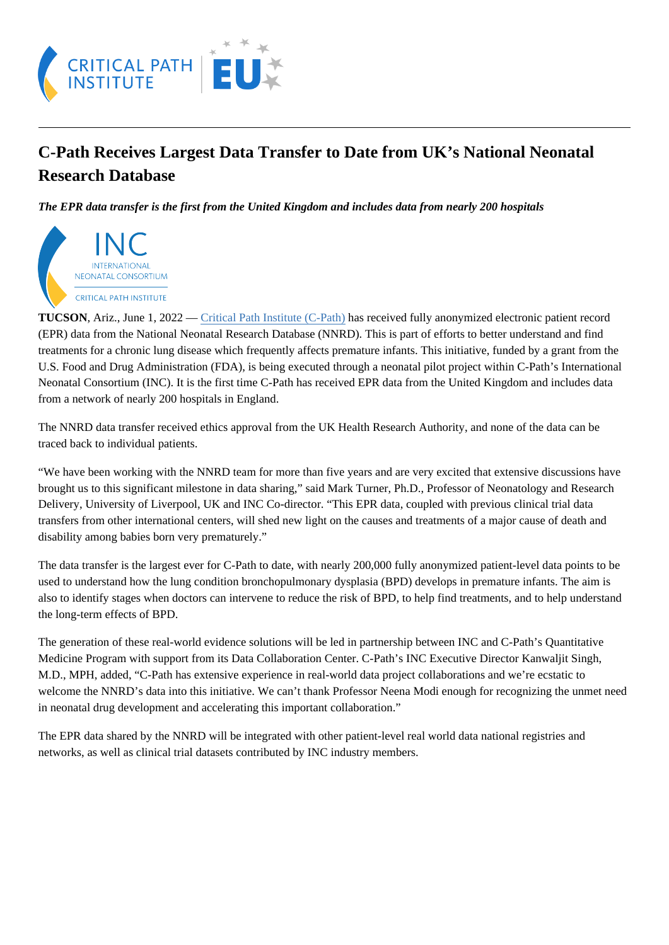## C-Path Receives Largest Data Transfer to Date from UK's National Neonatal Research Database

The EPR data transfer is the first from the United Kingdom and includes data from nearly 200 hospitals

TUCSON, Ariz., June 1, 2022 – Critical Path Institute (C-Path) has received fully anonymized electronic patient record (EPR) data from the National Neonatal Research Database (NNRD). This is part of efforts to better understand and find treatments for a chronic lung disease which frequently affects premature infants. This initiative, funded by a grant from the U.S. Food and Drug Administration (FDA), is being executed through a neonatal pilot project within C-Path's International Neonatal Consortium (INC). It is the first time C-Path has received EPR data from the United Kingdom and includes data from a network of nearly 200 hospitals in England.

The NNRD data transfer received ethics approval from the UK Health Research Authority, and none of the data can be traced back to individual patients.

"We have been working with the NNRD team for more than five years and are very excited that extensive discussions have brought us to this significant milestone in data sharing," said Mark Turner, Ph.D., Professor of Neonatology and Research Delivery, University of Liverpool, UK and INC Co-director. "This EPR data, coupled with previous clinical trial data transfers from other international centers, will shed new light on the causes and treatments of a major cause of death and disability among babies born very prematurely."

The data transfer is the largest ever for C-Path to date, with nearly 200,000 fully anonymized patient-level data points to b used to understand how the lung condition bronchopulmonary dysplasia (BPD) develops in premature infants. The aim is also to identify stages when doctors can intervene to reduce the risk of BPD, to help find treatments, and to help understa the long-term effects of BPD.

The generation of these real-world evidence solutions will be led in partnership between INC and C-Path's Quantitative Medicine Program with support from its Data Collaboration Center. C-Path's INC Executive Director Kanwaljit Singh, M.D., MPH, added, "C-Path has extensive experience in real-world data project collaborations and we're ecstatic to welcome the NNRD's data into this initiative. We can't thank Professor Neena Modi enough for recognizing the unmet ne in neonatal drug development and accelerating this important collaboration."

The EPR data shared by the NNRD will be integrated with other patient-level real world data national registries and networks, as well as clinical trial datasets contributed by INC industry members.